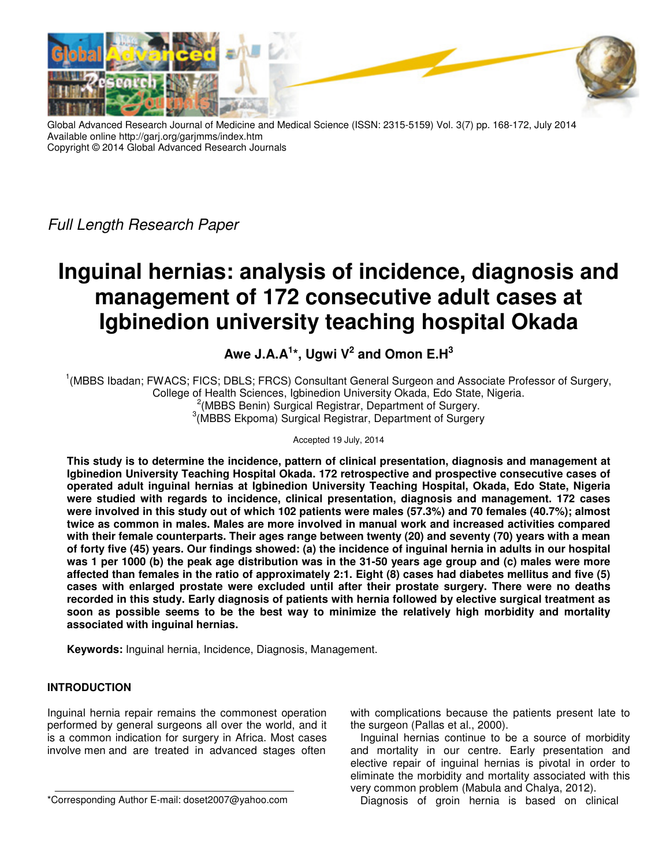

Global Advanced Research Journal of Medicine and Medical Science (ISSN: 2315-5159) Vol. 3(7) pp. 168-172, July 2014 Available online http://garj.org/garjmms/index.htm Copyright © 2014 Global Advanced Research Journals

Full Length Research Paper

# **Inguinal hernias: analysis of incidence, diagnosis and management of 172 consecutive adult cases at Igbinedion university teaching hospital Okada**

**Awe J.A.A<sup>1</sup> \*, Ugwi V<sup>2</sup> and Omon E.H<sup>3</sup>**

<sup>1</sup>(MBBS Ibadan; FWACS; FICS; DBLS; FRCS) Consultant General Surgeon and Associate Professor of Surgery, College of Health Sciences, Igbinedion University Okada, Edo State, Nigeria. <sup>2</sup>(MBBS Benin) Surgical Registrar, Department of Surgery. 3 (MBBS Ekpoma) Surgical Registrar, Department of Surgery

Accepted 19 July, 2014

**This study is to determine the incidence, pattern of clinical presentation, diagnosis and management at Igbinedion University Teaching Hospital Okada. 172 retrospective and prospective consecutive cases of operated adult inguinal hernias at Igbinedion University Teaching Hospital, Okada, Edo State, Nigeria were studied with regards to incidence, clinical presentation, diagnosis and management. 172 cases were involved in this study out of which 102 patients were males (57.3%) and 70 females (40.7%); almost twice as common in males. Males are more involved in manual work and increased activities compared with their female counterparts. Their ages range between twenty (20) and seventy (70) years with a mean of forty five (45) years. Our findings showed: (a) the incidence of inguinal hernia in adults in our hospital was 1 per 1000 (b) the peak age distribution was in the 31-50 years age group and (c) males were more affected than females in the ratio of approximately 2:1. Eight (8) cases had diabetes mellitus and five (5) cases with enlarged prostate were excluded until after their prostate surgery. There were no deaths recorded in this study. Early diagnosis of patients with hernia followed by elective surgical treatment as soon as possible seems to be the best way to minimize the relatively high morbidity and mortality associated with inguinal hernias.** 

**Keywords:** Inguinal hernia, Incidence, Diagnosis, Management.

# **INTRODUCTION**

Inguinal hernia repair remains the commonest operation performed by general surgeons all over the world, and it is a common indication for surgery in Africa. Most cases involve men and are treated in advanced stages often

\*Corresponding Author E-mail: doset2007@yahoo.com

with complications because the patients present late to the surgeon (Pallas et al., 2000).

Inguinal hernias continue to be a source of morbidity and mortality in our centre. Early presentation and elective repair of inguinal hernias is pivotal in order to eliminate the morbidity and mortality associated with this very common problem (Mabula and Chalya, 2012).

Diagnosis of groin hernia is based on clinical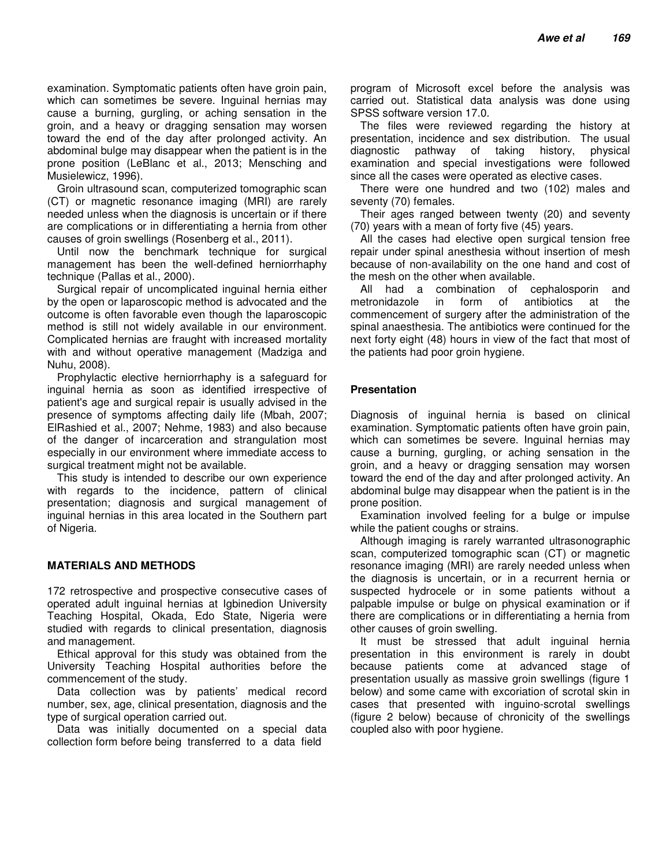examination. Symptomatic patients often have groin pain, which can sometimes be severe. Inguinal hernias may cause a burning, gurgling, or aching sensation in the groin, and a heavy or dragging sensation may worsen toward the end of the day after prolonged activity. An abdominal bulge may disappear when the patient is in the prone position (LeBlanc et al., 2013; Mensching and Musielewicz, 1996).

Groin ultrasound scan, computerized tomographic scan (CT) or magnetic resonance imaging (MRI) are rarely needed unless when the diagnosis is uncertain or if there are complications or in differentiating a hernia from other causes of groin swellings (Rosenberg et al., 2011).

Until now the benchmark technique for surgical management has been the well-defined herniorrhaphy technique (Pallas et al., 2000).

Surgical repair of uncomplicated inguinal hernia either by the open or laparoscopic method is advocated and the outcome is often favorable even though the laparoscopic method is still not widely available in our environment. Complicated hernias are fraught with increased mortality with and without operative management (Madziga and Nuhu, 2008).

Prophylactic elective herniorrhaphy is a safeguard for inguinal hernia as soon as identified irrespective of patient's age and surgical repair is usually advised in the presence of symptoms affecting daily life (Mbah, 2007; ElRashied et al., 2007; Nehme, 1983) and also because of the danger of incarceration and strangulation most especially in our environment where immediate access to surgical treatment might not be available.

This study is intended to describe our own experience with regards to the incidence, pattern of clinical presentation; diagnosis and surgical management of inguinal hernias in this area located in the Southern part of Nigeria.

## **MATERIALS AND METHODS**

172 retrospective and prospective consecutive cases of operated adult inguinal hernias at Igbinedion University Teaching Hospital, Okada, Edo State, Nigeria were studied with regards to clinical presentation, diagnosis and management.

Ethical approval for this study was obtained from the University Teaching Hospital authorities before the commencement of the study.

Data collection was by patients' medical record number, sex, age, clinical presentation, diagnosis and the type of surgical operation carried out.

Data was initially documented on a special data collection form before being transferred to a data field

program of Microsoft excel before the analysis was carried out. Statistical data analysis was done using SPSS software version 17.0.

The files were reviewed regarding the history at presentation, incidence and sex distribution. The usual diagnostic pathway of taking history, physical examination and special investigations were followed since all the cases were operated as elective cases.

There were one hundred and two (102) males and seventy (70) females.

Their ages ranged between twenty (20) and seventy (70) years with a mean of forty five (45) years.

All the cases had elective open surgical tension free repair under spinal anesthesia without insertion of mesh because of non-availability on the one hand and cost of the mesh on the other when available.

All had a combination of cephalosporin and metronidazole in form of antibiotics at the commencement of surgery after the administration of the spinal anaesthesia. The antibiotics were continued for the next forty eight (48) hours in view of the fact that most of the patients had poor groin hygiene.

## **Presentation**

Diagnosis of inguinal hernia is based on clinical examination. Symptomatic patients often have groin pain, which can sometimes be severe. Inguinal hernias may cause a burning, gurgling, or aching sensation in the groin, and a heavy or dragging sensation may worsen toward the end of the day and after prolonged activity. An abdominal bulge may disappear when the patient is in the prone position.

Examination involved feeling for a bulge or impulse while the patient coughs or strains.

Although imaging is rarely warranted ultrasonographic scan, computerized tomographic scan (CT) or magnetic resonance imaging (MRI) are rarely needed unless when the diagnosis is uncertain, or in a recurrent hernia or suspected hydrocele or in some patients without a palpable impulse or bulge on physical examination or if there are complications or in differentiating a hernia from other causes of groin swelling.

It must be stressed that adult inguinal hernia presentation in this environment is rarely in doubt because patients come at advanced stage of presentation usually as massive groin swellings (figure 1 below) and some came with excoriation of scrotal skin in cases that presented with inguino-scrotal swellings (figure 2 below) because of chronicity of the swellings coupled also with poor hygiene.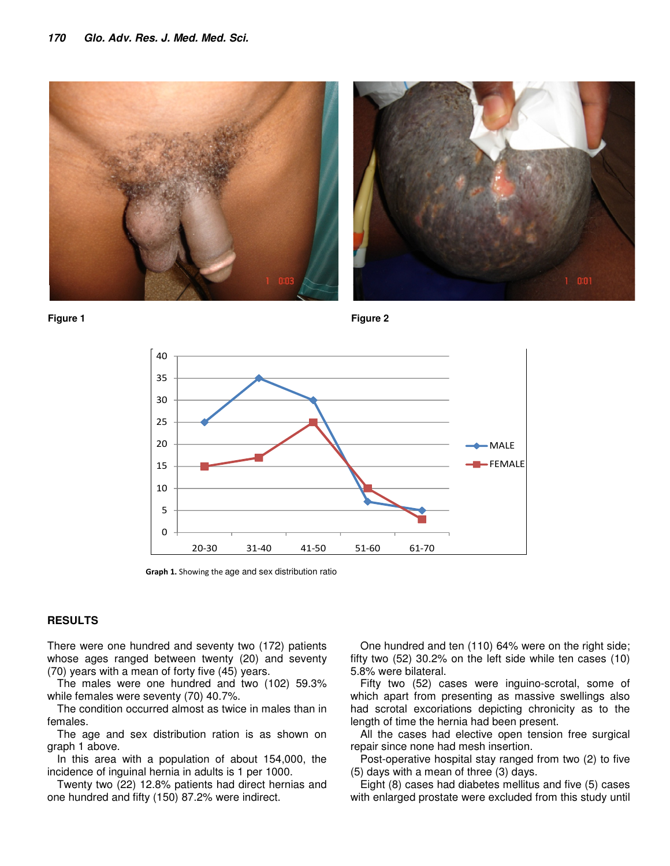





**Graph 1.** Showing the age and sex distribution ratio

#### **RESULTS**

There were one hundred and seventy two (172) patients whose ages ranged between twenty (20) and seventy (70) years with a mean of forty five (45) years.

The males were one hundred and two (102) 59.3% while females were seventy (70) 40.7%.

The condition occurred almost as twice in males than in females.

The age and sex distribution ration is as shown on graph 1 above.

In this area with a population of about 154,000, the incidence of inguinal hernia in adults is 1 per 1000.

Twenty two (22) 12.8% patients had direct hernias and one hundred and fifty (150) 87.2% were indirect.

One hundred and ten (110) 64% were on the right side; fifty two (52) 30.2% on the left side while ten cases (10) 5.8% were bilateral.

Fifty two (52) cases were inguino-scrotal, some of which apart from presenting as massive swellings also had scrotal excoriations depicting chronicity as to the length of time the hernia had been present.

All the cases had elective open tension free surgical repair since none had mesh insertion.

Post-operative hospital stay ranged from two (2) to five (5) days with a mean of three (3) days.

Eight (8) cases had diabetes mellitus and five (5) cases with enlarged prostate were excluded from this study until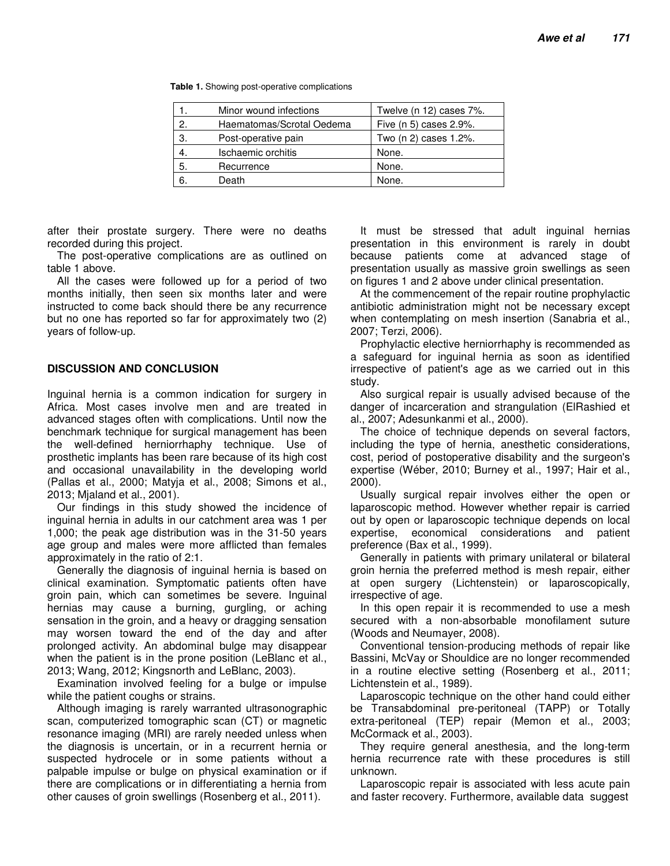**Table 1.** Showing post-operative complications

|                | Minor wound infections    | Twelve (n 12) cases 7%. |
|----------------|---------------------------|-------------------------|
| 2.             | Haematomas/Scrotal Oedema | Five (n 5) cases 2.9%.  |
| З.             | Post-operative pain       | Two (n 2) cases 1.2%.   |
| $\overline{4}$ | Ischaemic orchitis        | None.                   |
| 5.             | Recurrence                | None.                   |
| 6              | Death                     | None.                   |

after their prostate surgery. There were no deaths recorded during this project.

The post-operative complications are as outlined on table 1 above.

All the cases were followed up for a period of two months initially, then seen six months later and were instructed to come back should there be any recurrence but no one has reported so far for approximately two (2) years of follow-up.

#### **DISCUSSION AND CONCLUSION**

Inguinal hernia is a common indication for surgery in Africa. Most cases involve men and are treated in advanced stages often with complications. Until now the benchmark technique for surgical management has been the well-defined herniorrhaphy technique. Use of prosthetic implants has been rare because of its high cost and occasional unavailability in the developing world (Pallas et al., 2000; Matyja et al., 2008; Simons et al., 2013; Mjaland et al., 2001).

Our findings in this study showed the incidence of inguinal hernia in adults in our catchment area was 1 per 1,000; the peak age distribution was in the 31-50 years age group and males were more afflicted than females approximately in the ratio of 2:1.

Generally the diagnosis of inguinal hernia is based on clinical examination. Symptomatic patients often have groin pain, which can sometimes be severe. Inguinal hernias may cause a burning, gurgling, or aching sensation in the groin, and a heavy or dragging sensation may worsen toward the end of the day and after prolonged activity. An abdominal bulge may disappear when the patient is in the prone position (LeBlanc et al., 2013; Wang, 2012; Kingsnorth and LeBlanc, 2003).

Examination involved feeling for a bulge or impulse while the patient coughs or strains.

Although imaging is rarely warranted ultrasonographic scan, computerized tomographic scan (CT) or magnetic resonance imaging (MRI) are rarely needed unless when the diagnosis is uncertain, or in a recurrent hernia or suspected hydrocele or in some patients without a palpable impulse or bulge on physical examination or if there are complications or in differentiating a hernia from other causes of groin swellings (Rosenberg et al., 2011).

It must be stressed that adult inguinal hernias presentation in this environment is rarely in doubt because patients come at advanced stage of presentation usually as massive groin swellings as seen on figures 1 and 2 above under clinical presentation.

At the commencement of the repair routine prophylactic antibiotic administration might not be necessary except when contemplating on mesh insertion (Sanabria et al., 2007; Terzi, 2006).

Prophylactic elective herniorrhaphy is recommended as a safeguard for inguinal hernia as soon as identified irrespective of patient's age as we carried out in this study.

Also surgical repair is usually advised because of the danger of incarceration and strangulation (ElRashied et al., 2007; Adesunkanmi et al., 2000).

The choice of technique depends on several factors, including the type of hernia, anesthetic considerations, cost, period of postoperative disability and the surgeon's expertise (Wéber, 2010; Burney et al., 1997; Hair et al., 2000).

Usually surgical repair involves either the open or laparoscopic method. However whether repair is carried out by open or laparoscopic technique depends on local expertise, economical considerations and patient preference (Bax et al., 1999).

Generally in patients with primary unilateral or bilateral groin hernia the preferred method is mesh repair, either at open surgery (Lichtenstein) or laparoscopically, irrespective of age.

In this open repair it is recommended to use a mesh secured with a non-absorbable monofilament suture (Woods and Neumayer, 2008).

Conventional tension-producing methods of repair like Bassini, McVay or Shouldice are no longer recommended in a routine elective setting (Rosenberg et al., 2011; Lichtenstein et al., 1989).

Laparoscopic technique on the other hand could either be Transabdominal pre-peritoneal (TAPP) or Totally extra-peritoneal (TEP) repair (Memon et al., 2003; McCormack et al., 2003).

They require general anesthesia, and the long-term hernia recurrence rate with these procedures is still unknown.

Laparoscopic repair is associated with less acute pain and faster recovery. Furthermore, available data suggest